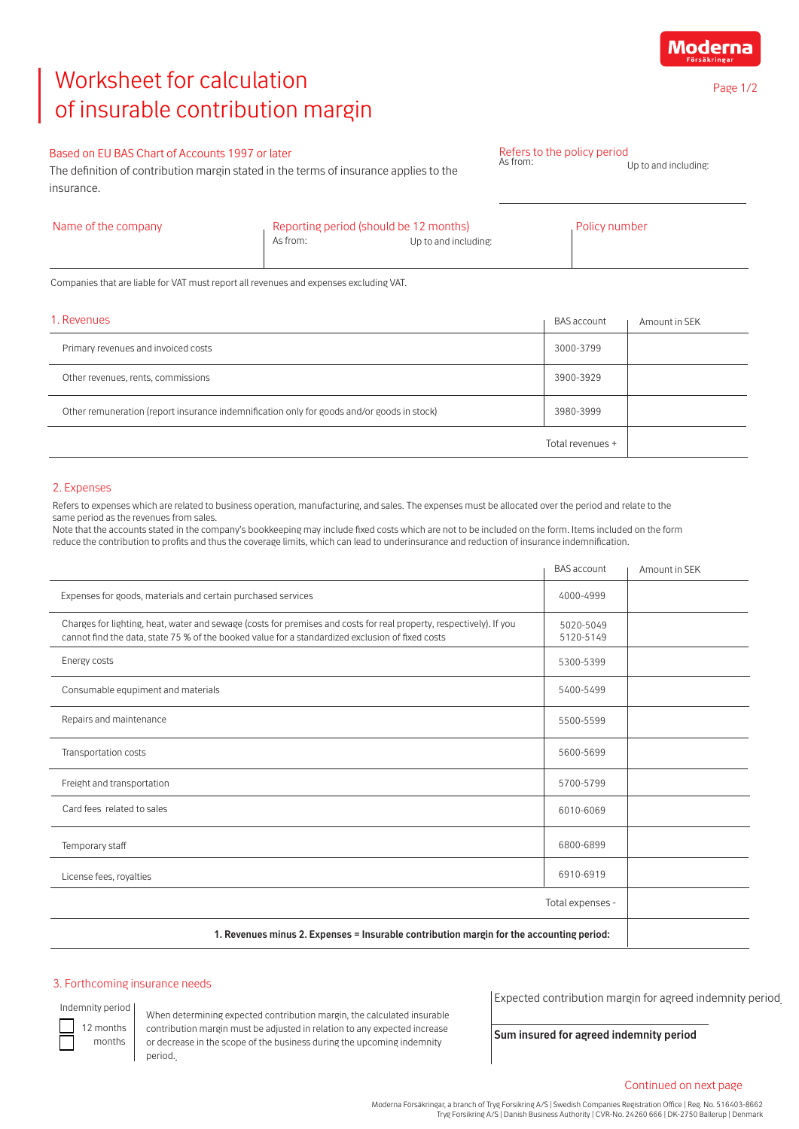# Worksheet for calculation of insurable contribution margin

# Based on EU BAS Chart of Accounts 1997 or later

The definition of contribution margin stated in the terms of insurance applies to the insurance.

| Name of the company | Reporting period (should be 12 months) |                      | Policy number |
|---------------------|----------------------------------------|----------------------|---------------|
|                     | As from:                               | Up to and including: |               |

Refers to the policy period<br>As from:

Companies that are liable for VAT must report all revenues and expenses excluding VAT.

| 1. Revenues                                                                                | <b>BAS</b> account | Amount in SEK |
|--------------------------------------------------------------------------------------------|--------------------|---------------|
| Primary revenues and invoiced costs                                                        | 3000-3799          |               |
| Other revenues, rents, commissions                                                         | 3900-3929          |               |
| Other remuneration (report insurance indemnification only for goods and/or goods in stock) | 3980-3999          |               |
|                                                                                            | Total revenues +   |               |

## 2. Expenses

Refers to expenses which are related to business operation, manufacturing, and sales. The expenses must be allocated over the period and relate to the same period as the revenues from sales.

Note that the accounts stated in the company's bookkeeping may include fixed costs which are not to be included on the form. Items included on the form reduce the contribution to profits and thus the coverage limits, which can lead to underinsurance and reduction of insurance indemnification.

|                                                                                                                                                                                                                         | <b>BAS</b> account     | Amount in SEK |
|-------------------------------------------------------------------------------------------------------------------------------------------------------------------------------------------------------------------------|------------------------|---------------|
| Expenses for goods, materials and certain purchased services                                                                                                                                                            | 4000-4999              |               |
| Charges for lighting, heat, water and sewage (costs for premises and costs for real property, respectively). If you<br>cannot find the data, state 75 % of the booked value for a standardized exclusion of fixed costs | 5020-5049<br>5120-5149 |               |
| Energy costs                                                                                                                                                                                                            | 5300-5399              |               |
| Consumable equpiment and materials                                                                                                                                                                                      | 5400-5499              |               |
| Repairs and maintenance                                                                                                                                                                                                 | 5500-5599              |               |
| Transportation costs                                                                                                                                                                                                    | 5600-5699              |               |
| Freight and transportation                                                                                                                                                                                              | 5700-5799              |               |
| Card fees related to sales                                                                                                                                                                                              | 6010-6069              |               |
| Temporary staff                                                                                                                                                                                                         | 6800-6899              |               |
| License fees, royalties                                                                                                                                                                                                 | 6910-6919              |               |
| Total expenses -                                                                                                                                                                                                        |                        |               |
| 1. Revenues minus 2. Expenses = Insurable contribution margin for the accounting period:                                                                                                                                |                        |               |

### 3. Forthcoming insurance needs

Indemnity period

12 months months

When determining expected contribution margin, the calculated insurable contribution margin must be adjusted in relation to any expected increase or decrease in the scope of the business during the upcoming indemnity period.

Expected contribution margin for agreed indemnity period

**Sum insured for agreed indemnity period**

Moderna

Up to and including:

Page 1/2